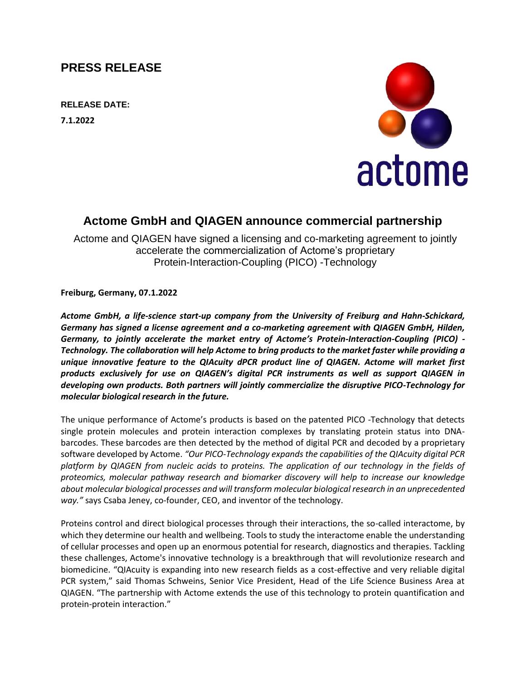## **PRESS RELEASE**

**RELEASE DATE: 7.1.2022**



## **Actome GmbH and QIAGEN announce commercial partnership**

Actome and QIAGEN have signed a licensing and co-marketing agreement to jointly accelerate the commercialization of Actome's proprietary Protein-Interaction-Coupling (PICO) -Technology

**Freiburg, Germany, 07.1.2022**

*Actome GmbH, a life-science start-up company from the University of Freiburg and Hahn-Schickard, Germany has signed a license agreement and a co-marketing agreement with QIAGEN GmbH, Hilden, Germany, to jointly accelerate the market entry of Actome's Protein-Interaction-Coupling (PICO) - Technology. The collaboration will help Actome to bring products to the market faster while providing a unique innovative feature to the QIAcuity dPCR product line of QIAGEN. Actome will market first products exclusively for use on QIAGEN's digital PCR instruments as well as support QIAGEN in developing own products. Both partners will jointly commercialize the disruptive PICO-Technology for molecular biological research in the future.*

The unique performance of Actome's products is based on the patented PICO -Technology that detects single protein molecules and protein interaction complexes by translating protein status into DNAbarcodes. These barcodes are then detected by the method of digital PCR and decoded by a proprietary software developed by Actome. *"Our PICO-Technology expands the capabilities of the QIAcuity digital PCR platform by QIAGEN from nucleic acids to proteins. The application of our technology in the fields of proteomics, molecular pathway research and biomarker discovery will help to increase our knowledge about molecular biological processes and will transform molecular biological research in an unprecedented way."* says Csaba Jeney, co-founder, CEO, and inventor of the technology.

Proteins control and direct biological processes through their interactions, the so-called interactome, by which they determine our health and wellbeing. Tools to study the interactome enable the understanding of cellular processes and open up an enormous potential for research, diagnostics and therapies. Tackling these challenges, Actome's innovative technology is a breakthrough that will revolutionize research and biomedicine. "QIAcuity is expanding into new research fields as a cost-effective and very reliable digital PCR system," said Thomas Schweins, Senior Vice President, Head of the Life Science Business Area at QIAGEN. "The partnership with Actome extends the use of this technology to protein quantification and protein-protein interaction."